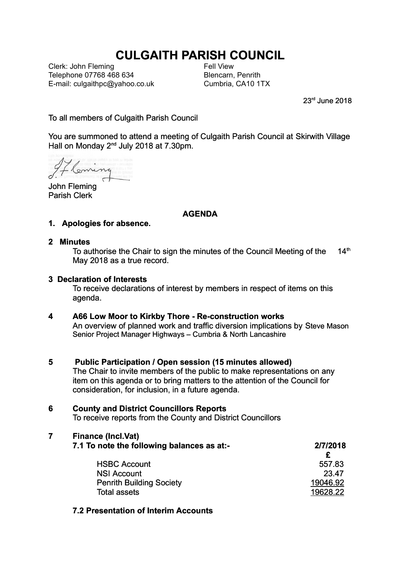# **CULGAITH PARISH COUNCIL**

Clerk: John Fleming Telephone 07768 468 634 E-mail: culgaithpc@yahoo.co.uk Fell View Blencarn, Penrith Cumbria, CA10 1TX

23rd June 2018

To all members of Culgaith Parish Council

You are summoned to attend a meeting of Culgaith Parish Council at Skirwith Village Hall on Monday 2nd July 2018 at 7.30pm.

Flemin

John Fleming Parish Clerk

### **AGENDA**

- **1. Apologies for absence.**
- **2 Minutes**

To authorise the Chair to sign the minutes of the Council Meeting of the  $14<sup>th</sup>$ May 2018 as a true record.

### **3 Declaration of Interests**

To receive declarations of interest by members in respect of items on this agenda.

### **4 A66 Low Moor to Kirkby Thore - Re-construction works**

An overview of planned work and traffic diversion implications by Steve Mason Senior Project Manager Highways – Cumbria & North Lancashire

### **5 Public Participation / Open session (15 minutes allowed)**

The Chair to invite members of the public to make representations on any item on this agenda or to bring matters to the attention of the Council for consideration, for inclusion, in a future agenda.

### **6 County and District Councillors Reports**

To receive reports from the County and District Councillors

### **7 Finance (Incl.Vat)**

| 7.1 To note the following balances as at:- | 2/7/2018 |  |
|--------------------------------------------|----------|--|
|                                            |          |  |
| <b>HSBC Account</b>                        | 557.83   |  |
| <b>NSI Account</b>                         | 23.47    |  |
| <b>Penrith Building Society</b>            | 19046.92 |  |
| <b>Total assets</b>                        | 19628.22 |  |

### **7.2 Presentation of Interim Accounts**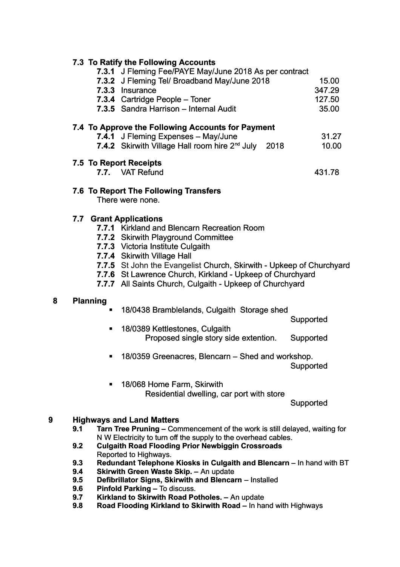# **7.3 To Ratify the Following Accounts**

|   |                        | 7.3.1 J Fleming Fee/PAYE May/June 2018 As per contract                  |           |
|---|------------------------|-------------------------------------------------------------------------|-----------|
|   |                        | 7.3.2 J Fleming Tel/ Broadband May/June 2018                            | 15.00     |
|   |                        | 7.3.3 Insurance                                                         | 347.29    |
|   |                        | 7.3.4 Cartridge People - Toner                                          | 127.50    |
|   |                        | 7.3.5 Sandra Harrison - Internal Audit                                  | 35.00     |
|   |                        | 7.4 To Approve the Following Accounts for Payment                       |           |
|   |                        | 7.4.1 J Fleming Expenses - May/June                                     | 31.27     |
|   |                        | 7.4.2 Skirwith Village Hall room hire 2 <sup>nd</sup> July<br>2018      | 10.00     |
|   | 7.5 To Report Receipts |                                                                         |           |
|   |                        | 7.7. VAT Refund                                                         | 431.78    |
|   |                        | 7.6 To Report The Following Transfers                                   |           |
|   |                        | There were none.                                                        |           |
|   | 7.7                    | <b>Grant Applications</b>                                               |           |
|   |                        | 7.7.1 Kirkland and Blencarn Recreation Room                             |           |
|   |                        | 7.7.2 Skirwith Playground Committee                                     |           |
|   |                        | 7.7.3 Victoria Institute Culgaith                                       |           |
|   |                        | 7.7.4 Skirwith Village Hall                                             |           |
|   |                        | 7.7.5 St John the Evangelist Church, Skirwith - Upkeep of Churchyard    |           |
|   |                        | 7.7.6 St Lawrence Church, Kirkland - Upkeep of Churchyard               |           |
|   |                        | 7.7.7 All Saints Church, Culgaith - Upkeep of Churchyard                |           |
| 8 | <b>Planning</b>        |                                                                         |           |
|   |                        | 18/0438 Bramblelands, Culgaith Storage shed                             |           |
|   |                        |                                                                         | Supported |
|   |                        | 18/0389 Kettlestones, Culgaith<br>Proposed single story side extention. | Supported |
|   | ٠                      | 18/0359 Greenacres, Blencarn - Shed and workshop.                       | Supported |
|   |                        | $10,00011$ $\Box$ $011$ $11$                                            |           |

■ 18/068 Home Farm, Skirwith Residential dwelling, car port with store

Supported

### **9 Highways and Land Matters**

| 9.1 | <b>Tarn Tree Pruning – Commencement of the work is still delayed, waiting for</b> |
|-----|-----------------------------------------------------------------------------------|
|     | N W Electricity to turn off the supply to the overhead cables.                    |

**9.2 Culgaith Road Flooding Prior Newbiggin Crossroads** Reported to Highways.

**9.3 Redundant Telephone Kiosks in Culgaith and Blencarn** – In hand with BT<br>**9.4** Skirwith Green Waste Skip. – An update

- **Skirwith Green Waste Skip. An update**
- 9.5 **Defibrillator Signs, Skirwith and Blencarn** Installed
- **9.6 Pinfold Parking** To discuss.
- **9.7 Kirkland to Skirwith Road Potholes.** An update
- **9.8 Road Flooding Kirkland to Skirwith Road** In hand with Highways